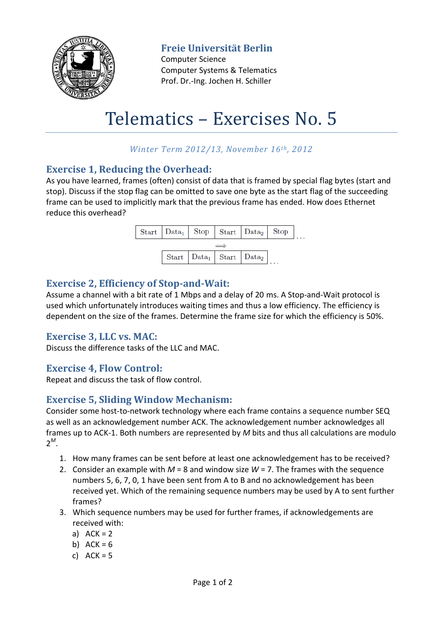

**Freie Universität Berlin**

Computer Science Computer Systems & Telematics Prof. Dr.-Ing. Jochen H. Schiller

# Telematics – Exercises No. 5

## *Winter Term 2012/13, November 16th, 2012*

#### **Exercise 1, Reducing the Overhead:**

As you have learned, frames (often) consist of data that is framed by special flag bytes (start and stop). Discuss if the stop flag can be omitted to save one byte as the start flag of the succeeding frame can be used to implicitly mark that the previous frame has ended. How does Ethernet reduce this overhead?



## **Exercise 2, Efficiency of Stop-and-Wait:**

Assume a channel with a bit rate of 1 Mbps and a delay of 20 ms. A Stop-and-Wait protocol is used which unfortunately introduces waiting times and thus a low efficiency. The efficiency is dependent on the size of the frames. Determine the frame size for which the efficiency is 50%.

#### **Exercise 3, LLC vs. MAC:**

Discuss the difference tasks of the LLC and MAC.

#### **Exercise 4, Flow Control:**

Repeat and discuss the task of flow control.

#### **Exercise 5, Sliding Window Mechanism:**

Consider some host-to-network technology where each frame contains a sequence number SEQ as well as an acknowledgement number ACK. The acknowledgement number acknowledges all frames up to ACK-1. Both numbers are represented by *M* bits and thus all calculations are modulo 2 *M* .

- 1. How many frames can be sent before at least one acknowledgement has to be received?
- 2. Consider an example with *M* = 8 and window size *W* = 7. The frames with the sequence numbers 5, 6, 7, 0, 1 have been sent from A to B and no acknowledgement has been received yet. Which of the remaining sequence numbers may be used by A to sent further frames?
- 3. Which sequence numbers may be used for further frames, if acknowledgements are received with:
	- a)  $ACK = 2$
	- b)  $ACK = 6$
	- c)  $ACK = 5$